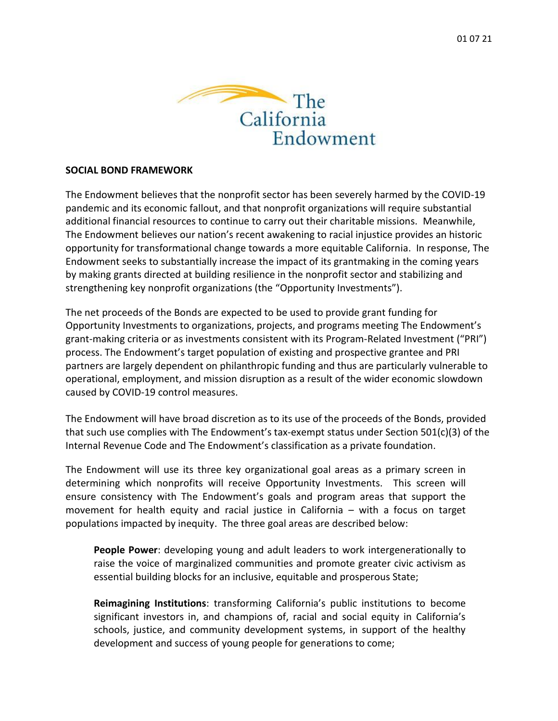

## **SOCIAL BOND FRAMEWORK**

The Endowment believes that the nonprofit sector has been severely harmed by the COVID-19 pandemic and its economic fallout, and that nonprofit organizations will require substantial additional financial resources to continue to carry out their charitable missions. Meanwhile, The Endowment believes our nation's recent awakening to racial injustice provides an historic opportunity for transformational change towards a more equitable California. In response, The Endowment seeks to substantially increase the impact of its grantmaking in the coming years by making grants directed at building resilience in the nonprofit sector and stabilizing and strengthening key nonprofit organizations (the "Opportunity Investments").

The net proceeds of the Bonds are expected to be used to provide grant funding for Opportunity Investments to organizations, projects, and programs meeting The Endowment's grant-making criteria or as investments consistent with its Program-Related Investment ("PRI") process. The Endowment's target population of existing and prospective grantee and PRI partners are largely dependent on philanthropic funding and thus are particularly vulnerable to operational, employment, and mission disruption as a result of the wider economic slowdown caused by COVID-19 control measures.

The Endowment will have broad discretion as to its use of the proceeds of the Bonds, provided that such use complies with The Endowment's tax-exempt status under Section 501(c)(3) of the Internal Revenue Code and The Endowment's classification as a private foundation.

The Endowment will use its three key organizational goal areas as a primary screen in determining which nonprofits will receive Opportunity Investments. This screen will ensure consistency with The Endowment's goals and program areas that support the movement for health equity and racial justice in California – with a focus on target populations impacted by inequity. The three goal areas are described below:

**People Power**: developing young and adult leaders to work intergenerationally to raise the voice of marginalized communities and promote greater civic activism as essential building blocks for an inclusive, equitable and prosperous State;

**Reimagining Institutions**: transforming California's public institutions to become significant investors in, and champions of, racial and social equity in California's schools, justice, and community development systems, in support of the healthy development and success of young people for generations to come;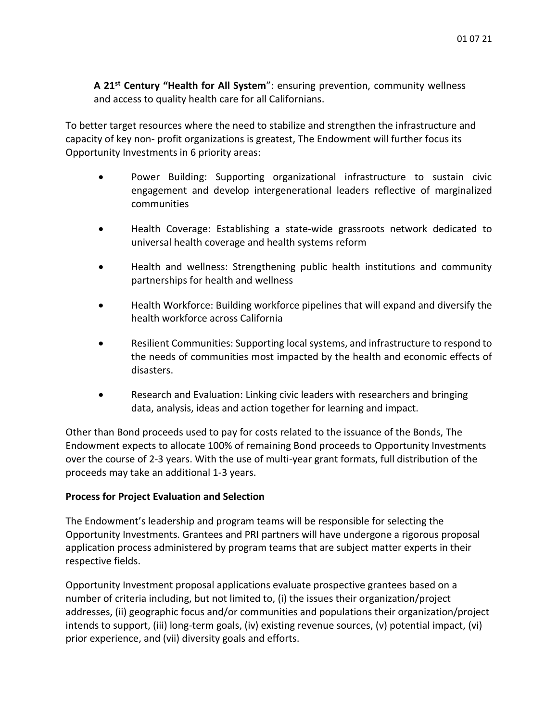**A 21st Century "Health for All System**": ensuring prevention, community wellness and access to quality health care for all Californians.

To better target resources where the need to stabilize and strengthen the infrastructure and capacity of key non- profit organizations is greatest, The Endowment will further focus its Opportunity Investments in 6 priority areas:

- Power Building: Supporting organizational infrastructure to sustain civic engagement and develop intergenerational leaders reflective of marginalized communities
- Health Coverage: Establishing a state-wide grassroots network dedicated to universal health coverage and health systems reform
- Health and wellness: Strengthening public health institutions and community partnerships for health and wellness
- Health Workforce: Building workforce pipelines that will expand and diversify the health workforce across California
- Resilient Communities: Supporting local systems, and infrastructure to respond to the needs of communities most impacted by the health and economic effects of disasters.
- Research and Evaluation: Linking civic leaders with researchers and bringing data, analysis, ideas and action together for learning and impact.

Other than Bond proceeds used to pay for costs related to the issuance of the Bonds, The Endowment expects to allocate 100% of remaining Bond proceeds to Opportunity Investments over the course of 2-3 years. With the use of multi-year grant formats, full distribution of the proceeds may take an additional 1-3 years.

## **Process for Project Evaluation and Selection**

The Endowment's leadership and program teams will be responsible for selecting the Opportunity Investments. Grantees and PRI partners will have undergone a rigorous proposal application process administered by program teams that are subject matter experts in their respective fields.

Opportunity Investment proposal applications evaluate prospective grantees based on a number of criteria including, but not limited to, (i) the issues their organization/project addresses, (ii) geographic focus and/or communities and populations their organization/project intends to support, (iii) long-term goals, (iv) existing revenue sources, (v) potential impact, (vi) prior experience, and (vii) diversity goals and efforts.